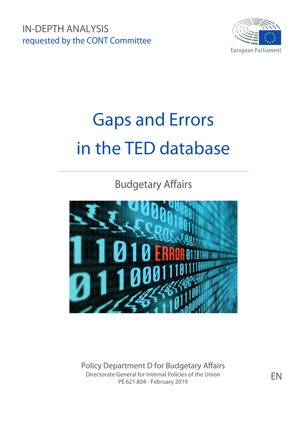IN-DEPTH ANALYSIS requested by the CONT Committee



# Gaps and Errors in the TED database

Budgetary Affairs



Policy Department D for Budgetary Affairs Directorate General for Internal Policies of the Union PE 621.804 - February 2019

EN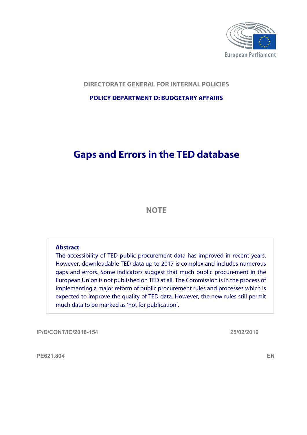

## **DIRECTORATE GENERAL FOR INTERNAL POLICIES**

## **POLICY DEPARTMENT D: BUDGETARY AFFAIRS**

## **Gaps and Errors in the TED database**

## **NOTE**

#### **Abstract**

The accessibility of TED public procurement data has improved in recent years. However, downloadable TED data up to 2017 is complex and includes numerous gaps and errors. Some indicators suggest that much public procurement in the European Union is not published on TED at all. The Commission is in the process of implementing a major reform of public procurement rules and processes which is expected to improve the quality of TED data. However, the new rules still permit much data to be marked as 'not for publication'.

**IP/D/CONT/IC/2018-154 25/02/2019**

**PE621.804 EN**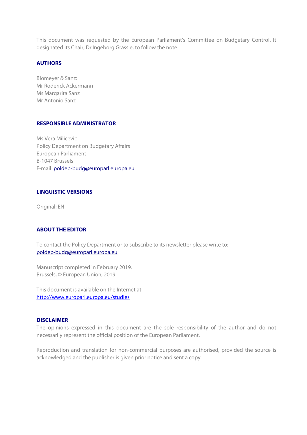This document was requested by the European Parliament's Committee on Budgetary Control. It designated its Chair, Dr Ingeborg Grässle, to follow the note.

#### **AUTHORS**

Blomeyer & Sanz: Mr Roderick Ackermann Ms Margarita Sanz Mr Antonio Sanz

#### **RESPONSIBLE ADMINISTRATOR**

Ms Vera Milicevic Policy Department on Budgetary Affairs European Parliament B-1047 Brussels E-mail: poldep-budg@europarl.europa.eu

#### **LINGUISTIC VERSIONS**

Original: EN

#### **ABOUT THE EDITOR**

To contact the Policy Department or to subscribe to its newsletter please write to: poldep-budg@europarl.europa.eu

Manuscript completed in February 2019. Brussels, © European Union, 2019.

This document is available on the Internet at: <http://www.europarl.europa.eu/studies>

#### **DISCLAIMER**

The opinions expressed in this document are the sole responsibility of the author and do not necessarily represent the official position of the European Parliament.

Reproduction and translation for non-commercial purposes are authorised, provided the source is acknowledged and the publisher is given prior notice and sent a copy.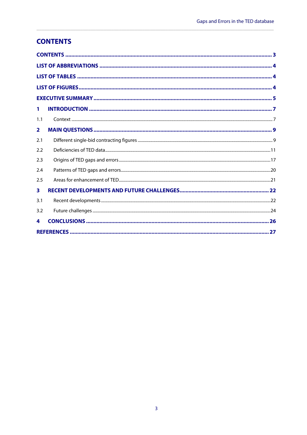## <span id="page-4-0"></span>**CONTENTS**

| 1                       |                                                                                                                                                                                                                                                                                                                                                                                                                                                                                                                        |  |
|-------------------------|------------------------------------------------------------------------------------------------------------------------------------------------------------------------------------------------------------------------------------------------------------------------------------------------------------------------------------------------------------------------------------------------------------------------------------------------------------------------------------------------------------------------|--|
| 1.1                     | $\textbf{Context} \textcolor{red}{\textbf{}} \textcolor{red}{\textbf{}} \textcolor{red}{\textbf{}} \textcolor{red}{\textbf{}} \textcolor{red}{\textbf{}} \textcolor{red}{\textbf{}} \textcolor{red}{\textbf{}} \textcolor{red}{\textbf{}} \textcolor{red}{\textbf{}} \textcolor{red}{\textbf{}} \textcolor{red}{\textbf{}} \textcolor{red}{\textbf{}} \textcolor{red}{\textbf{}} \textcolor{red}{\textbf{}} \textcolor{red}{\textbf{}} \textcolor{red}{\textbf{}} \textcolor{red}{\textbf{}} \textcolor{red}{\textbf{$ |  |
| $\overline{\mathbf{2}}$ |                                                                                                                                                                                                                                                                                                                                                                                                                                                                                                                        |  |
| 2.1                     |                                                                                                                                                                                                                                                                                                                                                                                                                                                                                                                        |  |
| 2.2                     |                                                                                                                                                                                                                                                                                                                                                                                                                                                                                                                        |  |
| 2.3                     |                                                                                                                                                                                                                                                                                                                                                                                                                                                                                                                        |  |
| 2.4                     |                                                                                                                                                                                                                                                                                                                                                                                                                                                                                                                        |  |
| 2.5                     |                                                                                                                                                                                                                                                                                                                                                                                                                                                                                                                        |  |
| $\overline{\mathbf{3}}$ |                                                                                                                                                                                                                                                                                                                                                                                                                                                                                                                        |  |
| 3.1                     |                                                                                                                                                                                                                                                                                                                                                                                                                                                                                                                        |  |
| 3.2                     |                                                                                                                                                                                                                                                                                                                                                                                                                                                                                                                        |  |
| 4                       |                                                                                                                                                                                                                                                                                                                                                                                                                                                                                                                        |  |
|                         |                                                                                                                                                                                                                                                                                                                                                                                                                                                                                                                        |  |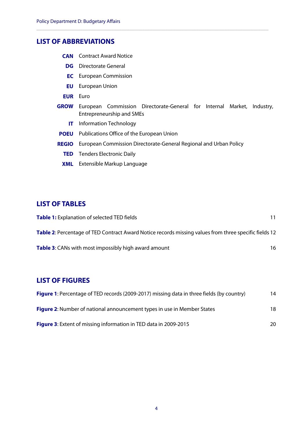## <span id="page-5-0"></span>**LIST OF ABBREVIATIONS**

- **CAN** Contract Award Notice
	- **DG** Directorate General
	- **EC** European Commission
	- **EU** European Union
- **EUR** Euro
- **GROW** European Commission Directorate-General for Internal Market, Industry, Entrepreneurship and SMEs
	- **IT** Information Technology
- **POEU** Publications Office of the European Union
- **REGIO** European Commission Directorate-General Regional and Urban Policy

**\_\_\_\_\_\_\_\_\_\_\_\_\_\_\_\_\_\_\_\_\_\_\_\_\_\_\_\_\_\_\_\_\_\_\_\_\_\_\_\_\_\_\_\_\_\_\_\_\_\_\_\_\_\_\_\_\_\_\_\_\_\_\_\_\_\_\_\_\_\_\_\_\_\_\_\_\_\_\_\_\_\_\_\_\_\_\_\_\_\_**

- **TED** Tenders Electronic Daily
- **XML** Extensible Markup Language

## <span id="page-5-1"></span>**LIST OF TABLES**

| <b>Table 1:</b> Explanation of selected TED fields                                                    |    |
|-------------------------------------------------------------------------------------------------------|----|
| Table 2: Percentage of TED Contract Award Notice records missing values from three specific fields 12 |    |
| <b>Table 3:</b> CANs with most impossibly high award amount                                           | 16 |

## <span id="page-5-2"></span>**LIST OF FIGURES**

| <b>Figure 1:</b> Percentage of TED records (2009-2017) missing data in three fields (by country) | 14  |
|--------------------------------------------------------------------------------------------------|-----|
| <b>Figure 2:</b> Number of national announcement types in use in Member States                   | 18. |
| <b>Figure 3:</b> Extent of missing information in TED data in 2009-2015                          | 20. |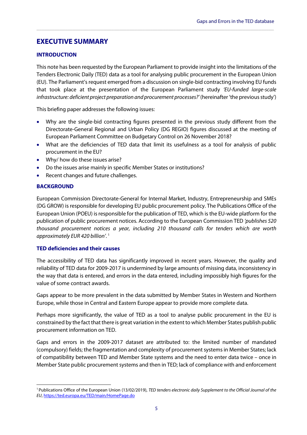## <span id="page-6-0"></span>**EXECUTIVE SUMMARY**

#### **INTRODUCTION**

This note has been requested by the European Parliament to provide insight into the limitations of the Tenders Electronic Daily (TED) data as a tool for analysing public procurement in the European Union (EU). The Parliament's request emerged from a discussion on single-bid contracting involving EU funds that took place at the presentation of the European Parliament study *'EU-funded large-scale infrastructure: deficient project preparation and procurement processes?'* (hereinafter 'the previous study')

**\_\_\_\_\_\_\_\_\_\_\_\_\_\_\_\_\_\_\_\_\_\_\_\_\_\_\_\_\_\_\_\_\_\_\_\_\_\_\_\_\_\_\_\_\_\_\_\_\_\_\_\_\_\_\_\_\_\_\_\_\_\_\_\_\_\_\_\_\_\_\_\_\_\_\_\_\_\_\_\_\_\_\_\_\_\_\_\_\_\_\_\_**

This briefing paper addresses the following issues:

- Why are the single-bid contracting figures presented in the previous study different from the Directorate-General Regional and Urban Policy (DG REGIO) figures discussed at the meeting of European Parliament Committee on Budgetary Control on 26 November 2018?
- What are the deficiencies of TED data that limit its usefulness as a tool for analysis of public procurement in the EU?
- Why/ how do these issues arise?
- Do the issues arise mainly in specific Member States or institutions?
- Recent changes and future challenges.

#### **BACKGROUND**

European Commission Directorate-General for Internal Market, Industry, Entrepreneurship and SMEs (DG GROW) is responsible for developing EU public procurement policy. The Publications Office of the European Union (POEU) is responsible for the publication of TED, which is the EU-wide platform for the publication of public procurement notices. According to the European Commission TED *'publishes 520 thousand procurement notices a year, including 210 thousand calls for tenders which are worth approximately EUR 420 billion'*. [1](#page-6-1)

#### **TED deficiencies and their causes**

The accessibility of TED data has significantly improved in recent years. However, the quality and reliability of TED data for 2009-2017 is undermined by large amounts of missing data, inconsistency in the way that data is entered, and errors in the data entered, including impossibly high figures for the value of some contract awards.

Gaps appear to be more prevalent in the data submitted by Member States in Western and Northern Europe, while those in Central and Eastern Europe appear to provide more complete data.

Perhaps more significantly, the value of TED as a tool to analyse public procurement in the EU is constrained by the fact that there is great variation in the extent to which Member States publish public procurement information on TED.

Gaps and errors in the 2009-2017 dataset are attributed to: the limited number of mandated (compulsory) fields; the fragmentation and complexity of procurement systems in Member States; lack of compatibility between TED and Member State systems and the need to enter data twice – once in Member State public procurement systems and then in TED; lack of compliance with and enforcement

<span id="page-6-1"></span> <sup>1</sup> Publications Office of the European Union (13/02/2019), *TED tenders electronic daily Supplement to the Official Journal of the EU*[, https://ted.europa.eu/TED/main/HomePage.do](https://ted.europa.eu/TED/main/HomePage.do)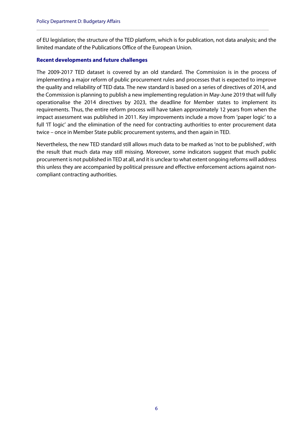of EU legislation; the structure of the TED platform, which is for publication, not data analysis; and the limited mandate of the Publications Office of the European Union.

**\_\_\_\_\_\_\_\_\_\_\_\_\_\_\_\_\_\_\_\_\_\_\_\_\_\_\_\_\_\_\_\_\_\_\_\_\_\_\_\_\_\_\_\_\_\_\_\_\_\_\_\_\_\_\_\_\_\_\_\_\_\_\_\_\_\_\_\_\_\_\_\_\_\_\_\_\_\_\_\_\_\_\_\_\_\_\_\_\_\_**

#### **Recent developments and future challenges**

The 2009-2017 TED dataset is covered by an old standard. The Commission is in the process of implementing a major reform of public procurement rules and processes that is expected to improve the quality and reliability of TED data. The new standard is based on a series of directives of 2014, and the Commission is planning to publish a new implementing regulation in May-June 2019 that will fully operationalise the 2014 directives by 2023, the deadline for Member states to implement its requirements. Thus, the entire reform process will have taken approximately 12 years from when the impact assessment was published in 2011. Key improvements include a move from 'paper logic' to a full 'IT logic' and the elimination of the need for contracting authorities to enter procurement data twice – once in Member State public procurement systems, and then again in TED.

Nevertheless, the new TED standard still allows much data to be marked as 'not to be published', with the result that much data may still missing. Moreover, some indicators suggest that much public procurement is not published in TED at all, and it is unclear to what extent ongoing reforms will address this unless they are accompanied by political pressure and effective enforcement actions against noncompliant contracting authorities.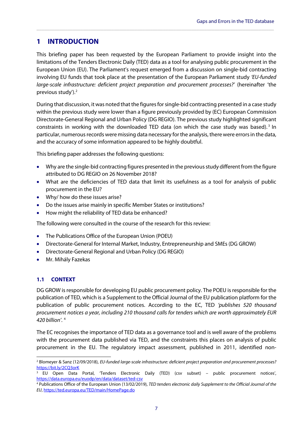## <span id="page-8-0"></span>**1 INTRODUCTION**

This briefing paper has been requested by the European Parliament to provide insight into the limitations of the Tenders Electronic Daily (TED) data as a tool for analysing public procurement in the European Union (EU). The Parliament's request emerged from a discussion on single-bid contracting involving EU funds that took place at the presentation of the European Parliament study *'EU-funded large-scale infrastructure: deficient project preparation and procurement processes?'* (hereinafter 'the previous study'). [2](#page-8-2)

**\_\_\_\_\_\_\_\_\_\_\_\_\_\_\_\_\_\_\_\_\_\_\_\_\_\_\_\_\_\_\_\_\_\_\_\_\_\_\_\_\_\_\_\_\_\_\_\_\_\_\_\_\_\_\_\_\_\_\_\_\_\_\_\_\_\_\_\_\_\_\_\_\_\_\_\_\_\_\_\_\_\_\_\_\_\_\_\_\_\_\_\_**

During that discussion, it was noted that the figures for single-bid contracting presented in a case study within the previous study were lower than a figure previously provided by (EC) European Commission Directorate-General Regional and Urban Policy (DG REGIO). The previous study highlighted significant constraints in working with the downloaded TED data (on which the case study was based).<sup>[3](#page-8-3)</sup> In particular, numerous records were missing data necessary for the analysis, there were errors in the data, and the accuracy of some information appeared to be highly doubtful.

This briefing paper addresses the following questions:

- Why are the single-bid contracting figures presented in the previous study different from the figure attributed to DG REGIO on 26 November 2018?
- What are the deficiencies of TED data that limit its usefulness as a tool for analysis of public procurement in the EU?
- Why/ how do these issues arise?
- Do the issues arise mainly in specific Member States or institutions?
- How might the reliability of TED data be enhanced?

The following were consulted in the course of the research for this review:

- The Publications Office of the European Union (POEU)
- Directorate-General for Internal Market, Industry, Entrepreneurship and SMEs (DG GROW)
- Directorate-General Regional and Urban Policy (DG REGIO)
- <span id="page-8-1"></span>• Mr. Mihály Fazekas

#### **1.1 CONTEXT**

DG GROW is responsible for developing EU public procurement policy. The POEU is responsible for the publication of TED, which is a Supplement to the Official Journal of the EU publication platform for the publication of public procurement notices. According to the EC, TED *'publishes 520 thousand procurement notices a year, including 210 thousand calls for tenders which are worth approximately EUR 420 billion'*. [4](#page-8-4)

The EC recognises the importance of TED data as a governance tool and is well aware of the problems with the procurement data published via TED, and the constraints this places on analysis of public procurement in the EU. The regulatory impact assessment, published in 2011, identified non-

<span id="page-8-2"></span> <sup>2</sup> Blomeyer & Sanz (12/09/2018), *EU-funded large-scale infrastructure: deficient project preparation and procurement processes?* <https://bit.ly/2CQ3orK>

<span id="page-8-3"></span><sup>&</sup>lt;sup>3</sup> EU Open Data Portal, 'Tenders Electronic Daily (TED) (csv subset) – public procurement notices', <https://data.europa.eu/euodp/en/data/dataset/ted-csv>

<span id="page-8-4"></span><sup>4</sup> Publications Office of the European Union (13/02/2019), *TED tenders electronic daily Supplement to the Official Journal of the EU*[, https://ted.europa.eu/TED/main/HomePage.do](https://ted.europa.eu/TED/main/HomePage.do)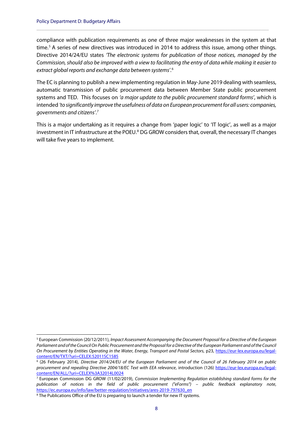compliance with publication requirements as one of three major weaknesses in the system at that time. [5](#page-9-0) A series of new directives was introduced in 2014 to address this issue, among other things. Directive 2014/24/EU states *'The electronic systems for publication of those notices, managed by the Commission, should also be improved with a view to facilitating the entry of data while making it easier to extract global reports and exchange data between systems'*. [6](#page-9-1)

**\_\_\_\_\_\_\_\_\_\_\_\_\_\_\_\_\_\_\_\_\_\_\_\_\_\_\_\_\_\_\_\_\_\_\_\_\_\_\_\_\_\_\_\_\_\_\_\_\_\_\_\_\_\_\_\_\_\_\_\_\_\_\_\_\_\_\_\_\_\_\_\_\_\_\_\_\_\_\_\_\_\_\_\_\_\_\_\_\_\_**

The EC is planning to publish a new implementing regulation in May-June 2019 dealing with seamless, automatic transmission of public procurement data between Member State public procurement systems and TED. This focuses on *'a major update to the public procurement standard forms'*, which is intended *'to significantly improve the usefulness of data on European procurement for all users: companies, governments and citizens'*. [7](#page-9-2)

This is a major undertaking as it requires a change from 'paper logic' to 'IT logic', as well as a major investment in IT infrastructure at the POEU.<sup>[8](#page-9-3)</sup> DG GROW considers that, overall, the necessary IT changes will take five years to implement.

<span id="page-9-0"></span> <sup>5</sup> European Commission (20/12/2011), *Impact Assessment Accompanying the Document Proposal for a Directive of the European Parliament and of the Council On Public Procurement and the Proposal for a Directive of the European Parliament and of the Council On Procurement by Entities Operating in the Water, Energy, Transport and Postal Sectors*, p23, [https://eur-lex.europa.eu/legal](https://eur-lex.europa.eu/legal-content/EN/TXT/?uri=CELEX:52011SC1585)[content/EN/TXT/?uri=CELEX:52011SC1585](https://eur-lex.europa.eu/legal-content/EN/TXT/?uri=CELEX:52011SC1585)

<span id="page-9-1"></span><sup>6</sup> (26 February 2014), *Directive 2014/24/EU of the European Parliament and of the Council of 26 February 2014 on public procurement and repealing Directive 2004/18/EC Text with EEA relevance*, introduction (126) [https://eur-lex.europa.eu/legal](https://eur-lex.europa.eu/legal-content/EN/ALL/?uri=CELEX%3A32014L0024)[content/EN/ALL/?uri=CELEX%3A32014L0024](https://eur-lex.europa.eu/legal-content/EN/ALL/?uri=CELEX%3A32014L0024)

<span id="page-9-2"></span><sup>7</sup> European Commission DG GROW (11/02/2019), *Commission Implementing Regulation establishing standard forms for the publication of notices in the field of public procurement ("eForms") – public feedback explanatory note*, [https://ec.europa.eu/info/law/better-regulation/initiatives/ares-2019-797630\\_en](https://ec.europa.eu/info/law/better-regulation/initiatives/ares-2019-797630_en)

<span id="page-9-3"></span><sup>&</sup>lt;sup>8</sup> The Publications Office of the EU is preparing to launch a tender for new IT systems.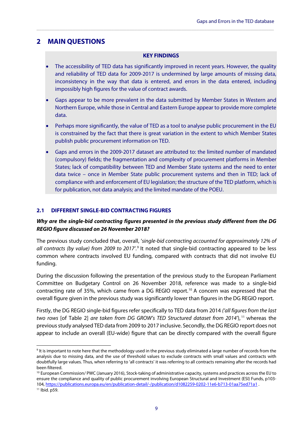## <span id="page-10-0"></span>**2 MAIN QUESTIONS**

#### **KEY FINDINGS**

**\_\_\_\_\_\_\_\_\_\_\_\_\_\_\_\_\_\_\_\_\_\_\_\_\_\_\_\_\_\_\_\_\_\_\_\_\_\_\_\_\_\_\_\_\_\_\_\_\_\_\_\_\_\_\_\_\_\_\_\_\_\_\_\_\_\_\_\_\_\_\_\_\_\_\_\_\_\_\_\_\_\_\_\_\_\_\_\_\_\_\_\_**

- The accessibility of TED data has significantly improved in recent years. However, the quality and reliability of TED data for 2009-2017 is undermined by large amounts of missing data, inconsistency in the way that data is entered, and errors in the data entered, including impossibly high figures for the value of contract awards.
- Gaps appear to be more prevalent in the data submitted by Member States in Western and Northern Europe, while those in Central and Eastern Europe appear to provide more complete data.
- Perhaps more significantly, the value of TED as a tool to analyse public procurement in the EU is constrained by the fact that there is great variation in the extent to which Member States publish public procurement information on TED.
- Gaps and errors in the 2009-2017 dataset are attributed to: the limited number of mandated (compulsory) fields; the fragmentation and complexity of procurement platforms in Member States; lack of compatibility between TED and Member State systems and the need to enter data twice – once in Member State public procurement systems and then in TED; lack of compliance with and enforcement of EU legislation; the structure of the TED platform, which is for publication, not data analysis; and the limited mandate of the POEU.

#### <span id="page-10-1"></span>**2.1 DIFFERENT SINGLE-BID CONTRACTING FIGURES**

## *Why are the single-bid contracting figures presented in the previous study different from the DG REGIO figure discussed on 26 November 2018?*

The previous study concluded that, overall, '*single-bid contracting accounted for approximately 12% of all contracts (by value) from 2009 to 2017'*. [9](#page-10-2) It noted that single-bid contracting appeared to be less common where contracts involved EU funding, compared with contracts that did not involve EU funding.

During the discussion following the presentation of the previous study to the European Parliament Committee on Budgetary Control on 26 November 2018, reference was made to a single-bid contracting rate of 35%, which came from a DG REGIO report. [10](#page-10-3) A concern was expressed that the overall figure given in the previous study was significantly lower than figures in the DG REGIO report.

Firstly, the DG REGIO single-bid figures refer specifically to TED data from 2014 *('all figures from the last two rows* [of Table 2] *are taken from DG GROW's TED Structured dataset from 2014'*), [11](#page-10-4) whereas the previous study analysed TED data from 2009 to 2017 inclusive. Secondly, the DG REGIO report does not appear to include an overall (EU-wide) figure that can be directly compared with the overall figure

9

<span id="page-10-2"></span><sup>&</sup>lt;sup>9</sup> It is important to note here that the methodology used in the previous study eliminated a large number of records from the analysis due to missing data, and the use of threshold values to exclude contracts with small values and contracts with doubtfully large values. Thus, when referring to 'all contracts' it was referring to all contracts remaining after the records had been filtered.

<span id="page-10-4"></span><span id="page-10-3"></span><sup>&</sup>lt;sup>10</sup> European Commission/ PWC (January 2016), Stock-taking of administrative capacity, systems and practices across the EU to ensure the compliance and quality of public procurement involving European Structural and Investment (ESI) Funds, p103- 104[, https://publications.europa.eu/en/publication-detail/-/publication/d1082259-0202-11e6-b713-01aa75ed71a1](https://publications.europa.eu/en/publication-detail/-/publication/d1082259-0202-11e6-b713-01aa75ed71a1) . <sup>11</sup> Ibid. p59.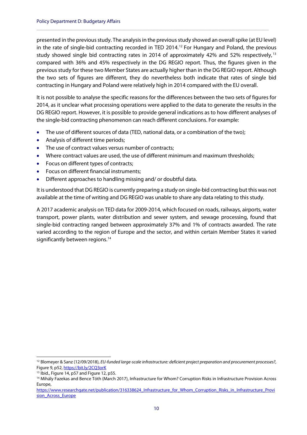presented in the previous study. The analysis in the previous study showed an overall spike (at EU level) in the rate of single-bid contracting recorded in TED 2014. [12](#page-11-0) For Hungary and Poland, the previous study showed single bid contracting rates in 2014 of approximately 42% and 52% respectively, [13](#page-11-1) compared with 36% and 45% respectively in the DG REGIO report. Thus, the figures given in the previous study for these two Member States are actually higher than in the DG REGIO report. Although the two sets of figures are different, they do nevertheless both indicate that rates of single bid contracting in Hungary and Poland were relatively high in 2014 compared with the EU overall.

**\_\_\_\_\_\_\_\_\_\_\_\_\_\_\_\_\_\_\_\_\_\_\_\_\_\_\_\_\_\_\_\_\_\_\_\_\_\_\_\_\_\_\_\_\_\_\_\_\_\_\_\_\_\_\_\_\_\_\_\_\_\_\_\_\_\_\_\_\_\_\_\_\_\_\_\_\_\_\_\_\_\_\_\_\_\_\_\_\_\_**

It is not possible to analyse the specific reasons for the differences between the two sets of figures for 2014, as it unclear what processing operations were applied to the data to generate the results in the DG REGIO report. However, it is possible to provide general indications as to how different analyses of the single-bid contracting phenomenon can reach different conclusions. For example:

- The use of different sources of data (TED, national data, or a combination of the two);
- Analysis of different time periods;
- The use of contract values versus number of contracts;
- Where contract values are used, the use of different minimum and maximum thresholds;
- Focus on different types of contracts;
- Focus on different financial instruments;
- Different approaches to handling missing and/ or doubtful data.

It is understood that DG REGIO is currently preparing a study on single-bid contracting but this was not available at the time of writing and DG REGIO was unable to share any data relating to this study.

A 2017 academic analysis on TED data for 2009-2014, which focused on roads, railways, airports, water transport, power plants, water distribution and sewer system, and sewage processing, found that single-bid contracting ranged between approximately 37% and 1% of contracts awarded. The rate varied according to the region of Europe and the sector, and within certain Member States it varied significantly between regions.<sup>[14](#page-11-2)</sup>

<span id="page-11-0"></span> <sup>12</sup> Blomeyer & Sanz (12/09/2018), *EU-funded large-scale infrastructure: deficient project preparation and procurement processes?*, Figure 9, p52, https://bit.ly/2CQ3ork

<span id="page-11-1"></span><sup>&</sup>lt;sup>13</sup> Ibid., Figure 14, p57 and Figure 12, p55.

<span id="page-11-2"></span><sup>14</sup> Mihály Fazekas and Bence Tóth (March 2017), Infrastructure for Whom? Corruption Risks in Infrastructure Provision Across Europe,

[https://www.researchgate.net/publication/316338624\\_Infrastructure\\_for\\_Whom\\_Corruption\\_Risks\\_in\\_Infrastructure\\_Provi](https://www.researchgate.net/publication/316338624_Infrastructure_for_Whom_Corruption_Risks_in_Infrastructure_Provision_Across_Europe) [sion\\_Across\\_Europe](https://www.researchgate.net/publication/316338624_Infrastructure_for_Whom_Corruption_Risks_in_Infrastructure_Provision_Across_Europe)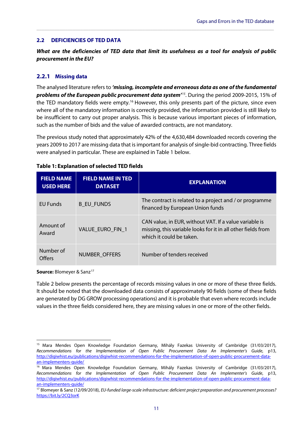#### <span id="page-12-0"></span>**2.2 DEFICIENCIES OF TED DATA**

*What are the deficiencies of TED data that limit its usefulness as a tool for analysis of public procurement in the EU?*

**\_\_\_\_\_\_\_\_\_\_\_\_\_\_\_\_\_\_\_\_\_\_\_\_\_\_\_\_\_\_\_\_\_\_\_\_\_\_\_\_\_\_\_\_\_\_\_\_\_\_\_\_\_\_\_\_\_\_\_\_\_\_\_\_\_\_\_\_\_\_\_\_\_\_\_\_\_\_\_\_\_\_\_\_\_\_\_\_\_\_\_\_**

#### **2.2.1 Missing data**

The analysed literature refers to *'missing, incomplete and erroneous data as one of the fundamental problems of the European public procurement data system'[15](#page-12-3)*. During the period 2009-2015, 15% of the TED mandatory fields were empty.<sup>[16](#page-12-4)</sup> However, this only presents part of the picture, since even where all of the mandatory information is correctly provided, the information provided is still likely to be insufficient to carry out proper analysis. This is because various important pieces of information, such as the number of bids and the value of awarded contracts, are not mandatory.

The previous study noted that approximately 42% of the 4,630,484 downloaded records covering the years 2009 to 2017 are missing data that is important for analysis of single-bid contracting. Three fields were analysed in particular. These are explained in [Table 1](#page-12-2) below.

| <b>FIELD NAME</b><br><b>USED HERE</b> | <b>FIELD NAME IN TED</b><br><b>DATASET</b> | <b>EXPLANATION</b>                                                                                                                                 |
|---------------------------------------|--------------------------------------------|----------------------------------------------------------------------------------------------------------------------------------------------------|
| EU Funds                              | <b>B EU FUNDS</b>                          | The contract is related to a project and / or programme<br>financed by European Union funds                                                        |
| Amount of<br>Award                    | VALUE EURO FIN 1                           | CAN value, in EUR, without VAT. If a value variable is<br>missing, this variable looks for it in all other fields from<br>which it could be taken. |
| Number of<br>Offers                   | NUMBER OFFERS                              | Number of tenders received                                                                                                                         |

#### <span id="page-12-2"></span><span id="page-12-1"></span>**Table 1: Explanation of selected TED fields**

**Source:** Blomeyer & Sanz<sup>[17](#page-12-5)</sup>

[Table 2](#page-13-1) below presents the percentage of records missing values in one or more of these three fields. It should be noted that the downloaded data consists of approximately 90 fields (some of these fields are generated by DG GROW processing operations) and it is probable that even where records include values in the three fields considered here, they are missing values in one or more of the other fields.

<span id="page-12-3"></span><sup>&</sup>lt;sup>15</sup> Mara Mendes Open Knowledge Foundation Germany, Mihály Fazekas University of Cambridge (31/03/2017), *Recommendations for the Implementation of Open Public Procurement Data An Implementer's Guide*, p13, [http://digiwhist.eu/publications/digiwhist-recommendations-for-the-implementation-of-open-public-procurement-data](http://digiwhist.eu/publications/digiwhist-recommendations-for-the-implementation-of-open-public-procurement-data-an-implementers-guide/)[an-implementers-guide/](http://digiwhist.eu/publications/digiwhist-recommendations-for-the-implementation-of-open-public-procurement-data-an-implementers-guide/)

<span id="page-12-4"></span><sup>&</sup>lt;sup>16</sup> Mara Mendes Open Knowledge Foundation Germany, Mihály Fazekas University of Cambridge (31/03/2017), *Recommendations for the Implementation of Open Public Procurement Data An Implementer's Guide*, p13, [http://digiwhist.eu/publications/digiwhist-recommendations-for-the-implementation-of-open-public-procurement-data](http://digiwhist.eu/publications/digiwhist-recommendations-for-the-implementation-of-open-public-procurement-data-an-implementers-guide/)[an-implementers-guide/](http://digiwhist.eu/publications/digiwhist-recommendations-for-the-implementation-of-open-public-procurement-data-an-implementers-guide/)

<span id="page-12-5"></span><sup>17</sup> Blomeyer & Sanz (12/09/2018), *EU-funded large-scale infrastructure: deficient project preparation and procurement processes?* <https://bit.ly/2CQ3orK>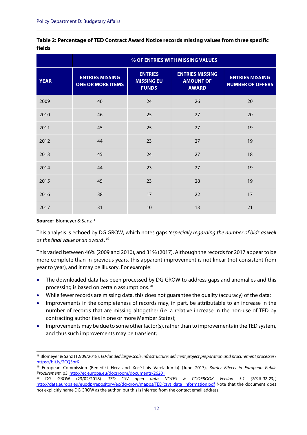<span id="page-13-1"></span><span id="page-13-0"></span>

| Table 2: Percentage of TED Contract Award Notice records missing values from three specific |  |
|---------------------------------------------------------------------------------------------|--|
| fields                                                                                      |  |

**\_\_\_\_\_\_\_\_\_\_\_\_\_\_\_\_\_\_\_\_\_\_\_\_\_\_\_\_\_\_\_\_\_\_\_\_\_\_\_\_\_\_\_\_\_\_\_\_\_\_\_\_\_\_\_\_\_\_\_\_\_\_\_\_\_\_\_\_\_\_\_\_\_\_\_\_\_\_\_\_\_\_\_\_\_\_\_\_\_\_**

|             | % OF ENTRIES WITH MISSING VALUES                   |                                                     |                                                            |                                                   |
|-------------|----------------------------------------------------|-----------------------------------------------------|------------------------------------------------------------|---------------------------------------------------|
| <b>YEAR</b> | <b>ENTRIES MISSING</b><br><b>ONE OR MORE ITEMS</b> | <b>ENTRIES</b><br><b>MISSING EU</b><br><b>FUNDS</b> | <b>ENTRIES MISSING</b><br><b>AMOUNT OF</b><br><b>AWARD</b> | <b>ENTRIES MISSING</b><br><b>NUMBER OF OFFERS</b> |
| 2009        | 46                                                 | 24                                                  | 26                                                         | 20                                                |
| 2010        | 46                                                 | 25                                                  | 27                                                         | 20                                                |
| 2011        | 45                                                 | 25                                                  | 27                                                         | 19                                                |
| 2012        | 44                                                 | 23                                                  | 27                                                         | 19                                                |
| 2013        | 45                                                 | 24                                                  | 27                                                         | 18                                                |
| 2014        | 44                                                 | 23                                                  | 27                                                         | 19                                                |
| 2015        | 45                                                 | 23                                                  | 28                                                         | 19                                                |
| 2016        | 38                                                 | 17                                                  | 22                                                         | 17                                                |
| 2017        | 31                                                 | 10                                                  | 13                                                         | 21                                                |

#### **Source:** Blomeyer & Sanz<sup>[18](#page-13-2)</sup>

This analysis is echoed by DG GROW, which notes gaps *'especially regarding the number of bids as well as the final value of an award'.[19](#page-13-3)*

This varied between 46% (2009 and 2010), and 31% (2017). Although the records for 2017 appear to be more complete than in previous years, this apparent improvement is not linear (not consistent from year to year), and it may be illusory. For example:

- The downloaded data has been processed by DG GROW to address gaps and anomalies and this processing is based on certain assumptions. [20](#page-13-4)
- While fewer records are missing data, this does not guarantee the quality (accuracy) of the data;
- Improvements in the completeness of records may, in part, be attributable to an increase in the number of records that are missing altogether (i.e. a relative increase in the non-use of TED by contracting authorities in one or more Member States);
- Improvements may be due to some other factor(s), rather than to improvements in the TED system, and thus such improvements may be transient;

<span id="page-13-2"></span> <sup>18</sup> Blomeyer & Sanz (12/09/2018), *EU-funded large-scale infrastructure: deficient project preparation and procurement processes?* <https://bit.ly/2CQ3orK>

<span id="page-13-3"></span><sup>19</sup> European Commission (Benedikt Herz and Xosé-Luís Varela-Irimia) (June 2017), *Border Effects in European Public Procurement*, p3,<http://ec.europa.eu/docsroom/documents/26201>

<span id="page-13-4"></span><sup>20</sup> DG GROW (23/02/2018) *'TED CSV open data NOTES & CODEBOOK Version 3.1 (2018-02-23)'*, http://data.europa.eu/euodp/repository/ec/dg-grow/mapps/TED(csv) data\_information.pdf Note that the document does not explicitly name DG GROW as the author, but this is inferred from the contact email address.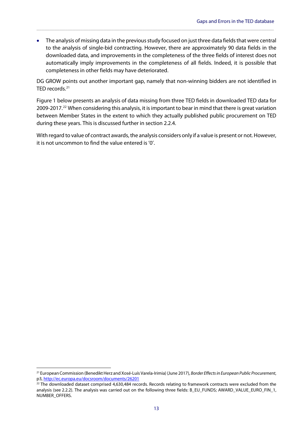• The analysis of missing data in the previous study focused on just three data fields that were central to the analysis of single-bid contracting. However, there are approximately 90 data fields in the downloaded data, and improvements in the completeness of the three fields of interest does not automatically imply improvements in the completeness of all fields. Indeed, it is possible that completeness in other fields may have deteriorated.

**\_\_\_\_\_\_\_\_\_\_\_\_\_\_\_\_\_\_\_\_\_\_\_\_\_\_\_\_\_\_\_\_\_\_\_\_\_\_\_\_\_\_\_\_\_\_\_\_\_\_\_\_\_\_\_\_\_\_\_\_\_\_\_\_\_\_\_\_\_\_\_\_\_\_\_\_\_\_\_\_\_\_\_\_\_\_\_\_\_\_\_\_**

DG GROW points out another important gap, namely that non-winning bidders are not identified in TED records.<sup>[21](#page-14-0)</sup>

[Figure 1](#page-15-1) below presents an analysis of data missing from three TED fields in downloaded TED data for 2009-2017. [22](#page-14-1) When considering this analysis, it is important to bear in mind that there is great variation between Member States in the extent to which they actually published public procurement on TED during these years. This is discussed further in sectio[n 2.2.4.](#page-17-1)

With regard to value of contract awards, the analysis considers only if a value is present or not. However, it is not uncommon to find the value entered is '0'.

<span id="page-14-0"></span> <sup>21</sup> European Commission (Benedikt Herz and Xosé-Luís Varela-Irimia) (June 2017), *Border Effects in European Public Procurement*, p3[, http://ec.europa.eu/docsroom/documents/26201](http://ec.europa.eu/docsroom/documents/26201)

<span id="page-14-1"></span> $22$  The downloaded dataset comprised 4,630,484 records. Records relating to framework contracts were excluded from the analysis (see [2.2.2\)](#page-15-2). The analysis was carried out on the following three fields: B\_EU\_FUNDS; AWARD\_VALUE\_EURO\_FIN\_1, NUMBER\_OFFERS.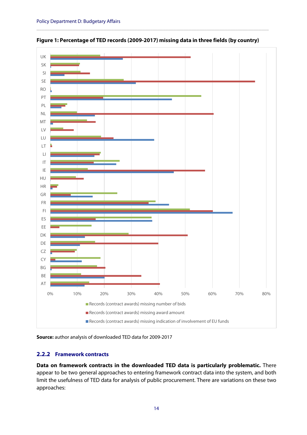

<span id="page-15-1"></span><span id="page-15-0"></span>**Figure 1: Percentage of TED records (2009-2017) missing data in three fields (by country)**

**\_\_\_\_\_\_\_\_\_\_\_\_\_\_\_\_\_\_\_\_\_\_\_\_\_\_\_\_\_\_\_\_\_\_\_\_\_\_\_\_\_\_\_\_\_\_\_\_\_\_\_\_\_\_\_\_\_\_\_\_\_\_\_\_\_\_\_\_\_\_\_\_\_\_\_\_\_\_\_\_\_\_\_\_\_\_\_\_\_\_**



#### <span id="page-15-2"></span>**2.2.2 Framework contracts**

**Data on framework contracts in the downloaded TED data is particularly problematic.** There appear to be two general approaches to entering framework contract data into the system, and both limit the usefulness of TED data for analysis of public procurement. There are variations on these two approaches: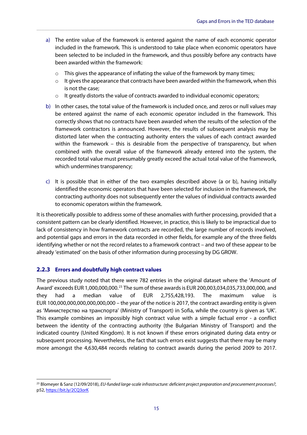- a) The entire value of the framework is entered against the name of each economic operator included in the framework. This is understood to take place when economic operators have been selected to be included in the framework, and thus possibly before any contracts have been awarded within the framework:
	- $\circ$  This gives the appearance of inflating the value of the framework by many times;

**\_\_\_\_\_\_\_\_\_\_\_\_\_\_\_\_\_\_\_\_\_\_\_\_\_\_\_\_\_\_\_\_\_\_\_\_\_\_\_\_\_\_\_\_\_\_\_\_\_\_\_\_\_\_\_\_\_\_\_\_\_\_\_\_\_\_\_\_\_\_\_\_\_\_\_\_\_\_\_\_\_\_\_\_\_\_\_\_\_\_\_\_**

- $\circ$  It gives the appearance that contracts have been awarded within the framework, when this is not the case;
- $\circ$  It greatly distorts the value of contracts awarded to individual economic operators;
- b) In other cases, the total value of the framework is included once, and zeros or null values may be entered against the name of each economic operator included in the framework. This correctly shows that no contracts have been awarded when the results of the selection of the framework contractors is announced. However, the results of subsequent analysis may be distorted later when the contracting authority enters the values of each contract awarded within the framework - this is desirable from the perspective of transparency, but when combined with the overall value of the framework already entered into the system, the recorded total value must presumably greatly exceed the actual total value of the framework, which undermines transparency;
- c) It is possible that in either of the two examples described above (a or b), having initially identified the economic operators that have been selected for inclusion in the framework, the contracting authority does not subsequently enter the values of individual contracts awarded to economic operators within the framework.

It is theoretically possible to address some of these anomalies with further processing, provided that a consistent pattern can be clearly identified. However, in practice, this is likely to be impractical due to lack of consistency in how framework contracts are recorded, the large number of records involved, and potential gaps and errors in the data recorded in other fields, for example any of the three fields identifying whether or not the record relates to a framework contract – and two of these appear to be already 'estimated' on the basis of other information during processing by DG GROW.

#### **2.2.3 Errors and doubtfully high contract values**

The previous study noted that there were 782 entries in the original dataset where the 'Amount of Award' exceeds EUR 1,000,000,000.[23](#page-16-0) The sum of these awards is EUR 200,003,034,035,733,000,000, and they had a median value of EUR  $2,755,428,193$ . The maximum value EUR 100,000,000,000,000,000,000 – the year of the notice is 2017, the contract awarding entity is given as 'Министерство на транспорта' (Ministry of Transport) in Sofia, while the country is given as 'UK'. This example combines an impossibly high contract value with a simple factual error - a conflict between the identity of the contracting authority (the Bulgarian Ministry of Transport) and the indicated country (United Kingdom). It is not known if these errors originated during data entry or subsequent processing. Nevertheless, the fact that such errors exist suggests that there may be many more amongst the 4,630,484 records relating to contract awards during the period 2009 to 2017.

<span id="page-16-0"></span> <sup>23</sup> Blomeyer & Sanz (12/09/2018), *EU-funded large-scale infrastructure: deficient project preparation and procurement processes?*, p52[, https://bit.ly/2CQ3orK](https://bit.ly/2CQ3orK)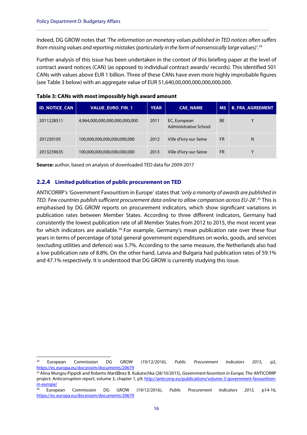Indeed, DG GROW notes that *'The information on monetary values published in TED notices often suffers from missing values and reporting mistakes (particularly in the form of nonsensically large values)'.* [24](#page-17-3)

**\_\_\_\_\_\_\_\_\_\_\_\_\_\_\_\_\_\_\_\_\_\_\_\_\_\_\_\_\_\_\_\_\_\_\_\_\_\_\_\_\_\_\_\_\_\_\_\_\_\_\_\_\_\_\_\_\_\_\_\_\_\_\_\_\_\_\_\_\_\_\_\_\_\_\_\_\_\_\_\_\_\_\_\_\_\_\_\_\_\_**

Further analysis of this issue has been undertaken in the context of this briefing paper at the level of contract award notices (CAN) (as opposed to individual contract awards/ records). This identified 501 CANs with values above EUR 1 billion. Three of these CANs have even more highly improbable figures (see [Table 3](#page-17-2) below) with an aggregate value of EUR 51,640,00,000,000,000,000,000.

| <b>ID NOTICE CAN</b> | <b>VALUE EURO FIN 1</b>       | <b>YEAR</b> | <b>CAE NAME</b>                              | <b>MS</b> | <b>B FRA AGREEMENT</b> |
|----------------------|-------------------------------|-------------|----------------------------------------------|-----------|------------------------|
| 2011228511           | 4,964,000,000,000,000,000,000 | 2011        | EC, European<br><b>Administrative School</b> | <b>BE</b> | v                      |
| 201230105            | 100,000,000,000,000,000,000   | 2012        | Ville d'Ivry-sur-Seine                       | <b>FR</b> | N                      |
| 2013239635           | 100,000,000,000,000,000,000   | 2013        | Ville d'Ivry-sur-Seine                       | <b>FR</b> | Υ                      |

<span id="page-17-2"></span><span id="page-17-0"></span>

<span id="page-17-1"></span>**Source:** author, based on analysis of downloaded TED data for 2009-2017

#### **2.2.4 Limited publication of public procurement on TED**

ANTICORRP's 'Government Favouritism in Europe' states that *'only a minority of awards are published in TED. Few countries publish sufficient procurement data online to allow comparison across EU-28'.*[25](#page-17-4) This is emphasised by DG GROW reports on procurement indicators, which show significant variations in publication rates between Member States. According to three different indicators, Germany had consistently the lowest publication rate of all Member States from 2012 to 2015, the most recent year for which indicators are available.<sup>[26](#page-17-5)</sup> For example, Germany's mean publication rate over these four years in terms of percentage of total general government expenditures on works, goods, and services (excluding utilities and defence) was 5.7%. According to the same measure, the Netherlands also had a low publication rate of 8.8%. On the other hand, Latvia and Bulgaria had publication rates of 59.1% and 47.1% respectively. It is understood that DG GROW is currently studying this issue.

<span id="page-17-3"></span> <sup>24</sup> European Commission DG GROW (19/12/2016), *Public Procurement Indicators 2015,* p2, <https://ec.europa.eu/docsroom/documents/20679>

<span id="page-17-4"></span><sup>&</sup>lt;sup>25</sup> Alina Mungiu-Pippidi and Roberto Marti nez B. Kukutschka (28/10/2015), *Government favoritism in Europe,* The ANTICORRP project: Anticorruption report, volume 3, chapter 1, p9, [http://anticorrp.eu/publications/volume-3-government-favouritism](http://anticorrp.eu/publications/volume-3-government-favouritism-in-europe/)[in-europe/](http://anticorrp.eu/publications/volume-3-government-favouritism-in-europe/)

<span id="page-17-5"></span><sup>26</sup> European Commission DG GROW (19/12/2016), *Public Procurement Indicators 2015,* p14-16, <https://ec.europa.eu/docsroom/documents/20679>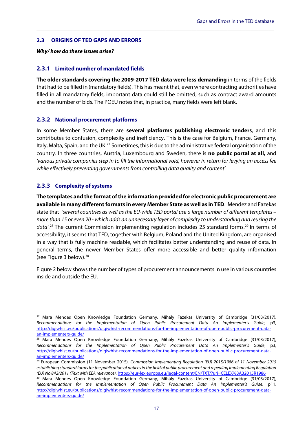#### <span id="page-18-0"></span>**2.3 ORIGINS OF TED GAPS AND ERRORS**

#### *Why/ how do these issues arise?*

#### **2.3.1 Limited number of mandated fields**

**The older standards covering the 2009-2017 TED data were less demanding** in terms of the fields that had to be filled in (mandatory fields). This has meant that, even where contracting authorities have filled in all mandatory fields, important data could still be omitted, such as contract award amounts and the number of bids. The POEU notes that, in practice, many fields were left blank.

**\_\_\_\_\_\_\_\_\_\_\_\_\_\_\_\_\_\_\_\_\_\_\_\_\_\_\_\_\_\_\_\_\_\_\_\_\_\_\_\_\_\_\_\_\_\_\_\_\_\_\_\_\_\_\_\_\_\_\_\_\_\_\_\_\_\_\_\_\_\_\_\_\_\_\_\_\_\_\_\_\_\_\_\_\_\_\_\_\_\_\_\_**

#### **2.3.2 National procurement platforms**

In some Member States, there are **several platforms publishing electronic tenders**, and this contributes to confusion, complexity and inefficiency. This is the case for Belgium, France, Germany, Italy, Malta, Spain, and the UK.<sup>[27](#page-18-1)</sup> Sometimes, this is due to the administrative federal organisation of the country. In three countries, Austria, Luxembourg and Sweden, there is **no public portal at all,** and *'various private companies step in to fill the informational void, however in return for levying an access fee while effectively preventing governments from controlling data quality and content'*.

#### **2.3.3 Complexity of systems**

**The templates and the format of the information provided for electronic public procurement are available in many different formats in every Member State as well as in TED**. Mendez and Fazekas state that *'several countries as well as the EU-wide TED portal use a large number of different templates – more than 15 or even 20 - which adds an unnecessary layer of complexity to understanding and reusing the*  data'.<sup>[28](#page-18-2)</sup> The current Commission implementing regulation includes 25 standard forms.<sup>[29](#page-18-3)</sup> In terms of accessibility, it seems that TED, together with Belgium, Poland and the United Kingdom, are organised in a way that is fully machine readable, which facilitates better understanding and reuse of data. In general terms, the newer Member States offer more accessible and better quality information (see [Figure 3](#page-21-2) below). [30](#page-18-4)

[Figure 2](#page-19-1) below shows the number of types of procurement announcements in use in various countries inside and outside the EU.

<span id="page-18-1"></span><sup>&</sup>lt;sup>27</sup> Mara Mendes Open Knowledge Foundation Germany, Mihály Fazekas University of Cambridge (31/03/2017), *Recommendations for the Implementation of Open Public Procurement Data An Implementer's Guide*, p3, [http://digiwhist.eu/publications/digiwhist-recommendations-for-the-implementation-of-open-public-procurement-data](http://digiwhist.eu/publications/digiwhist-recommendations-for-the-implementation-of-open-public-procurement-data-an-implementers-guide/)[an-implementers-guide/](http://digiwhist.eu/publications/digiwhist-recommendations-for-the-implementation-of-open-public-procurement-data-an-implementers-guide/)

<span id="page-18-2"></span><sup>&</sup>lt;sup>28</sup> Mara Mendes Open Knowledge Foundation Germany, Mihály Fazekas University of Cambridge (31/03/2017), *Recommendations for the Implementation of Open Public Procurement Data An Implementer's Guide*, p3, [http://digiwhist.eu/publications/digiwhist-recommendations-for-the-implementation-of-open-public-procurement-data](http://digiwhist.eu/publications/digiwhist-recommendations-for-the-implementation-of-open-public-procurement-data-an-implementers-guide/)[an-implementers-guide/](http://digiwhist.eu/publications/digiwhist-recommendations-for-the-implementation-of-open-public-procurement-data-an-implementers-guide/)

<span id="page-18-3"></span><sup>29</sup> European Commission (11 November 2015), *Commission Implementing Regulation (EU) 2015/1986 of 11 November 2015 establishing standard forms for the publication of notices in the field of public procurement and repealing Implementing Regulation (EU) No 842/2011 (Text with EEA relevance)*[, https://eur-lex.europa.eu/legal-content/EN/TXT/?uri=CELEX%3A32015R1986](https://eur-lex.europa.eu/legal-content/EN/TXT/?uri=CELEX%3A32015R1986)

<span id="page-18-4"></span><sup>&</sup>lt;sup>30</sup> Mara Mendes Open Knowledge Foundation Germany, Mihály Fazekas University of Cambridge (31/03/2017), *Recommendations for the Implementation of Open Public Procurement Data An Implementer's Guide*, p11, [http://digiwhist.eu/publications/digiwhist-recommendations-for-the-implementation-of-open-public-procurement-data](http://digiwhist.eu/publications/digiwhist-recommendations-for-the-implementation-of-open-public-procurement-data-an-implementers-guide/)[an-implementers-guide/](http://digiwhist.eu/publications/digiwhist-recommendations-for-the-implementation-of-open-public-procurement-data-an-implementers-guide/)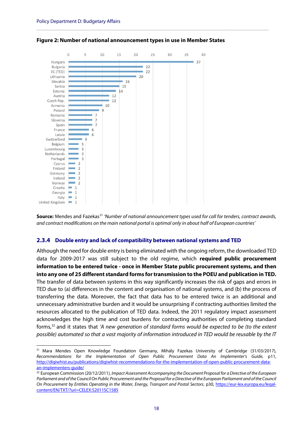

<span id="page-19-1"></span><span id="page-19-0"></span>

**\_\_\_\_\_\_\_\_\_\_\_\_\_\_\_\_\_\_\_\_\_\_\_\_\_\_\_\_\_\_\_\_\_\_\_\_\_\_\_\_\_\_\_\_\_\_\_\_\_\_\_\_\_\_\_\_\_\_\_\_\_\_\_\_\_\_\_\_\_\_\_\_\_\_\_\_\_\_\_\_\_\_\_\_\_\_\_\_\_\_**

**Source:** Mendes and Fazekas[31](#page-19-2) *'Number of national announcement types used for call for tenders, contract awards, and contract modifications on the main national portal is optimal only in about half of European countries'*

#### **2.3.4 Double entry and lack of compatibility between national systems and TED**

Although the need for double entry is being eliminated with the ongoing reform, the downloaded TED data for 2009-2017 was still subject to the old regime, which **required public procurement information to be entered twice - once in Member State public procurement systems, and then into any one of 25 different standard forms for transmission to the POEU and publication in TED.**  The transfer of data between systems in this way significantly increases the risk of gaps and errors in TED due to (a) differences in the content and organisation of national systems, and (b) the process of transferring the data. Moreover, the fact that data has to be entered twice is an additional and unnecessary administrative burden and it would be unsurprising if contracting authorities limited the resources allocated to the publication of TED data. Indeed, the 2011 regulatory impact assessment acknowledges the high time and cost burdens for contracting authorities of completing standard forms, [32](#page-19-3) and it states that *'A new generation of standard forms would be expected to be (to the extent possible) automated so that a vast majority of information introduced in TED would be reusable by the IT* 

<span id="page-19-2"></span><sup>&</sup>lt;sup>31</sup> Mara Mendes Open Knowledge Foundation Germany, Mihály Fazekas University of Cambridge (31/03/2017), *Recommendations for the Implementation of Open Public Procurement Data An Implementer's Guide*, p11, [http://digiwhist.eu/publications/digiwhist-recommendations-for-the-implementation-of-open-public-procurement-data](http://digiwhist.eu/publications/digiwhist-recommendations-for-the-implementation-of-open-public-procurement-data-an-implementers-guide/)[an-implementers-guide/](http://digiwhist.eu/publications/digiwhist-recommendations-for-the-implementation-of-open-public-procurement-data-an-implementers-guide/)

<span id="page-19-3"></span><sup>32</sup> European Commission (20/12/2011), *Impact Assessment Accompanying the Document Proposal for a Directive of the European Parliament and of the Council On Public Procurement and the Proposal for a Directive of the European Parliament and of the Council On Procurement by Entities Operating in the Water, Energy, Transport and Postal Sectors*, p30, [https://eur-lex.europa.eu/legal](https://eur-lex.europa.eu/legal-content/EN/TXT/?uri=CELEX:52011SC1585)[content/EN/TXT/?uri=CELEX:52011SC1585](https://eur-lex.europa.eu/legal-content/EN/TXT/?uri=CELEX:52011SC1585)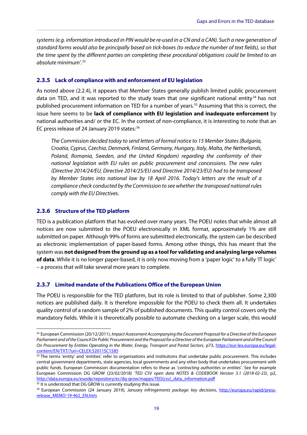*systems (e.g. information introduced in PIN would be re-used in a CN and a CAN). Such a new generation of standard forms would also be principally based on tick-boxes (to reduce the number of text fields), so that the time spent by the different parties on completing these procedural obligations could be limited to an absolute minimum'*. [33](#page-20-0)

**\_\_\_\_\_\_\_\_\_\_\_\_\_\_\_\_\_\_\_\_\_\_\_\_\_\_\_\_\_\_\_\_\_\_\_\_\_\_\_\_\_\_\_\_\_\_\_\_\_\_\_\_\_\_\_\_\_\_\_\_\_\_\_\_\_\_\_\_\_\_\_\_\_\_\_\_\_\_\_\_\_\_\_\_\_\_\_\_\_\_\_\_**

#### **2.3.5 Lack of compliance with and enforcement of EU legislation**

As noted above [\(2.2.4\)](#page-17-1), it appears that Member States generally publish limited public procurement data on TED, and it was reported to the study team that one significant national entity $34$  has not published procurement information on TED for a number of years.<sup>[35](#page-20-2)</sup> Assuming that this is correct, the issue here seems to be **lack of compliance with EU legislation and inadequate enforcement** by national authorities and/ or the EC. In the context of non-compliance, it is interesting to note that an EC press release of 24 January 2019 states:<sup>[36](#page-20-3)</sup>

*The Commission decided today to send letters of formal notice to 15 Member States (Bulgaria, Croatia, Cyprus, Czechia, Denmark, Finland, Germany, Hungary, Italy, Malta, the Netherlands, Poland, Romania, Sweden, and the United Kingdom) regarding the conformity of their national legislation with EU rules on public procurement and concessions. The new rules (Directive 2014/24/EU, Directive 2014/25/EU and Directive 2014/23/EU) had to be transposed by Member States into national law by 18 April 2016. Today's letters are the result of a compliance check conducted by the Commission to see whether the transposed national rules comply with the EU Directives.*

#### **2.3.6 Structure of the TED platform**

TED is a publication platform that has evolved over many years. The POEU notes that while almost all notices are now submitted to the POEU electronically in XML format, approximately 1% are still submitted on paper. Although 99% of forms are submitted electronically, the system can be described as electronic implementation of paper-based forms. Among other things, this has meant that the system was **not designed from the ground up as a tool for validating and analysing large volumes of data**. While it is no longer paper-based, it is only now moving from a 'paper logic' to a fully 'IT logic' – a process that will take several more years to complete.

#### **2.3.7 Limited mandate of the Publications Office of the European Union**

The POEU is responsible for the TED platform, but its role is limited to that of publisher. Some 2,300 notices are published daily. It is therefore impossible for the POEU to check them all. It undertakes quality control of a random sample of 2% of published documents. This quality control covers only the mandatory fields. While it is theoretically possible to automate checking on a larger scale, this would

<span id="page-20-2"></span><sup>35</sup> It is understood that DG GROW is currently studying this issue.

<span id="page-20-0"></span> <sup>33</sup> European Commission (20/12/2011), *Impact Assessment Accompanying the Document Proposal for a Directive of the European Parliament and of the Council On Public Procurement and the Proposal for a Directive of the European Parliament and of the Council On Procurement by Entities Operating in the Water, Energy, Transport and Postal Sectors*, p73, [https://eur-lex.europa.eu/legal](https://eur-lex.europa.eu/legal-content/EN/TXT/?uri=CELEX:52011SC1585)[content/EN/TXT/?uri=CELEX:52011SC1585](https://eur-lex.europa.eu/legal-content/EN/TXT/?uri=CELEX:52011SC1585)

<span id="page-20-1"></span><sup>&</sup>lt;sup>34</sup> The terms 'entity' and 'entities' refer to organisations and institutions that undertake public procurement. This includes central government departments, state agencies, local governments and any other body that undertakes procurement with public funds. European Commission documentation refers to these as *'contracting authorities or entities'*. See for example European Commission DG GROW (23/02/2018) *'TED CSV open data NOTES & CODEBOOK Version 3.1 (2018-02-23)*, p2, [http://data.europa.eu/euodp/repository/ec/dg-grow/mapps/TED\(csv\)\\_data\\_information.pdf](http://data.europa.eu/euodp/repository/ec/dg-grow/mapps/TED(csv)_data_information.pdf)

<span id="page-20-3"></span><sup>36</sup> European Commission (24 January 2019), *January infringements package: key decisions*, [http://europa.eu/rapid/press](http://europa.eu/rapid/press-release_MEMO-19-462_EN.htm)[release\\_MEMO-19-462\\_EN.htm](http://europa.eu/rapid/press-release_MEMO-19-462_EN.htm)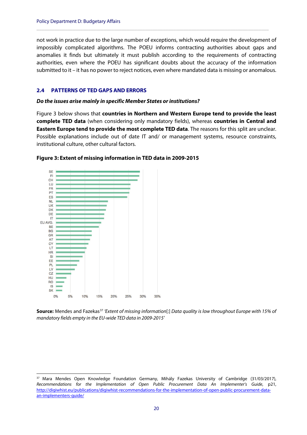not work in practice due to the large number of exceptions, which would require the development of impossibly complicated algorithms. The POEU informs contracting authorities about gaps and anomalies it finds but ultimately it must publish according to the requirements of contracting authorities, even where the POEU has significant doubts about the accuracy of the information submitted to it – it has no power to reject notices, even where mandated data is missing or anomalous.

**\_\_\_\_\_\_\_\_\_\_\_\_\_\_\_\_\_\_\_\_\_\_\_\_\_\_\_\_\_\_\_\_\_\_\_\_\_\_\_\_\_\_\_\_\_\_\_\_\_\_\_\_\_\_\_\_\_\_\_\_\_\_\_\_\_\_\_\_\_\_\_\_\_\_\_\_\_\_\_\_\_\_\_\_\_\_\_\_\_\_**

#### <span id="page-21-4"></span><span id="page-21-0"></span>**2.4 PATTERNS OF TED GAPS AND ERRORS**

#### *Do the issues arise mainly in specific Member States or institutions?*

[Figure 3](#page-21-2) below shows that **countries in Northern and Western Europe tend to provide the least complete TED data** (when considering only mandatory fields), whereas **countries in Central and Eastern Europe tend to provide the most complete TED data**. The reasons for this split are unclear. Possible explanations include out of date IT and/ or management systems, resource constraints, institutional culture, other cultural factors.



#### <span id="page-21-2"></span><span id="page-21-1"></span>**Figure 3: Extent of missing information in TED data in 2009-2015**

**Source:** Mendes and Fazekas<sup>[37](#page-21-3)</sup> 'Extent of missing information[:] Data quality is low throughout Europe with 15% of *mandatory fields empty in the EU-wide TED data in 2009-2015'*

<span id="page-21-3"></span><sup>&</sup>lt;sup>37</sup> Mara Mendes Open Knowledge Foundation Germany, Mihály Fazekas University of Cambridge (31/03/2017), *Recommendations for the Implementation of Open Public Procurement Data An Implementer's Guide*, p21, [http://digiwhist.eu/publications/digiwhist-recommendations-for-the-implementation-of-open-public-procurement-data](http://digiwhist.eu/publications/digiwhist-recommendations-for-the-implementation-of-open-public-procurement-data-an-implementers-guide/)[an-implementers-guide/](http://digiwhist.eu/publications/digiwhist-recommendations-for-the-implementation-of-open-public-procurement-data-an-implementers-guide/)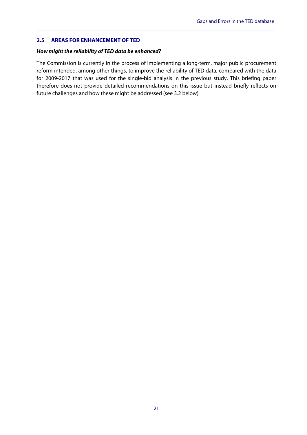#### <span id="page-22-0"></span>**2.5 AREAS FOR ENHANCEMENT OF TED**

#### *How might the reliability of TED data be enhanced?*

The Commission is currently in the process of implementing a long-term, major public procurement reform intended, among other things, to improve the reliability of TED data, compared with the data for 2009-2017 that was used for the single-bid analysis in the previous study. This briefing paper therefore does not provide detailed recommendations on this issue but instead briefly reflects on future challenges and how these might be addressed (see [3.2](#page-25-1) below)

**\_\_\_\_\_\_\_\_\_\_\_\_\_\_\_\_\_\_\_\_\_\_\_\_\_\_\_\_\_\_\_\_\_\_\_\_\_\_\_\_\_\_\_\_\_\_\_\_\_\_\_\_\_\_\_\_\_\_\_\_\_\_\_\_\_\_\_\_\_\_\_\_\_\_\_\_\_\_\_\_\_\_\_\_\_\_\_\_\_\_\_\_**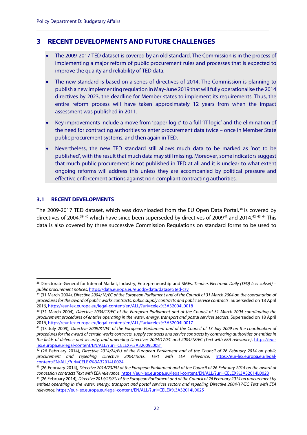## <span id="page-23-0"></span>**3 RECENT DEVELOPMENTS AND FUTURE CHALLENGES**

• The 2009-2017 TED dataset is covered by an old standard. The Commission is in the process of implementing a major reform of public procurement rules and processes that is expected to improve the quality and reliability of TED data.

**\_\_\_\_\_\_\_\_\_\_\_\_\_\_\_\_\_\_\_\_\_\_\_\_\_\_\_\_\_\_\_\_\_\_\_\_\_\_\_\_\_\_\_\_\_\_\_\_\_\_\_\_\_\_\_\_\_\_\_\_\_\_\_\_\_\_\_\_\_\_\_\_\_\_\_\_\_\_\_\_\_\_\_\_\_\_\_\_\_\_**

- The new standard is based on a series of directives of 2014. The Commission is planning to publish a new implementing regulation in May-June 2019 that will fully operationalise the 2014 directives by 2023, the deadline for Member states to implement its requirements. Thus, the entire reform process will have taken approximately 12 years from when the impact assessment was published in 2011.
- Key improvements include a move from 'paper logic' to a full 'IT logic' and the elimination of the need for contracting authorities to enter procurement data twice – once in Member State public procurement systems, and then again in TED.
- Nevertheless, the new TED standard still allows much data to be marked as 'not to be published', with the result that much data may still missing. Moreover, some indicators suggest that much public procurement is not published in TED at all and it is unclear to what extent ongoing reforms will address this unless they are accompanied by political pressure and effective enforcement actions against non-compliant contracting authorities.

#### <span id="page-23-1"></span>**3.1 RECENT DEVELOPMENTS**

The 2009-2017 TED dataset, which was downloaded from the EU Open Data Portal,<sup>[38](#page-23-2)</sup> is covered by directives of 2004,<sup>[39](#page-23-3) [40](#page-23-4)</sup> which have since been superseded by directives of 2009<sup>[41](#page-23-5)</sup> and 2014.<sup>[42](#page-23-6) [43](#page-23-7) [44](#page-23-8)</sup> This data is also covered by three successive Commission Regulations on standard forms to be used to

<span id="page-23-2"></span> <sup>38</sup> Directorate-General for Internal Market, Industry, Entrepreneurship and SMEs, *Tenders Electronic Daily (TED) (csv subset) – public procurement notices*[, https://data.europa.eu/euodp/data/dataset/ted-csv](https://data.europa.eu/euodp/data/dataset/ted-csv)

<span id="page-23-3"></span><sup>39</sup> (31 March 2004), *Directive 2004/18/EC of the European Parliament and of the Council of 31 March 2004 on the coordination of procedures for the award of public works contracts, public supply contracts and public service contracts*. Superseded on 18 April 2016[, https://eur-lex.europa.eu/legal-content/en/ALL/?uri=celex%3A32004L0018](https://eur-lex.europa.eu/legal-content/en/ALL/?uri=celex%3A32004L0018)

<span id="page-23-4"></span><sup>40</sup> (31 March 2004), *Directive 2004/17/EC of the European Parliament and of the Council of 31 March 2004 coordinating the procurement procedures of entities operating in the water, energy, transport and postal services sectors*. Superseded on 18 April 2016[, https://eur-lex.europa.eu/legal-content/en/ALL/?uri=celex%3A32004L0017](https://eur-lex.europa.eu/legal-content/en/ALL/?uri=celex%3A32004L0017)

<span id="page-23-5"></span><sup>41</sup> (13 July 2009), *Directive 2009/81/EC of the European Parliament and of the Council of 13 July 2009 on the coordination of procedures for the award of certain works contracts, supply contracts and service contracts by contracting authorities or entities in the fields of defence and security, and amending Directives 2004/17/EC and 2004/18/EC (Text with EEA relevance)*, [https://eur](https://eur-lex.europa.eu/legal-content/EN/ALL/?uri=CELEX%3A32009L0081)[lex.europa.eu/legal-content/EN/ALL/?uri=CELEX%3A32009L0081](https://eur-lex.europa.eu/legal-content/EN/ALL/?uri=CELEX%3A32009L0081)

<span id="page-23-6"></span><sup>42</sup> (26 February 2014), *Directive 2014/24/EU of the European Parliament and of the Council of 26 February 2014 on public procurement and repealing Directive 2004/18/EC Text with EEA relevance*, [https://eur-lex.europa.eu/legal](https://eur-lex.europa.eu/legal-content/EN/ALL/?uri=CELEX%3A32014L0024)[content/EN/ALL/?uri=CELEX%3A32014L0024](https://eur-lex.europa.eu/legal-content/EN/ALL/?uri=CELEX%3A32014L0024)

<span id="page-23-7"></span><sup>43</sup> (26 February 2014), *Directive 2014/23/EU of the European Parliament and of the Council of 26 February 2014 on the award of concession contracts Text with EEA relevance*, <https://eur-lex.europa.eu/legal-content/EN/ALL/?uri=CELEX%3A32014L0023>

<span id="page-23-8"></span><sup>44</sup> (26 February 2014), *Directive 2014/25/EU of the European Parliament and of the Council of 26 February 2014 on procurement by entities operating in the water, energy, transport and postal services sectors and repealing Directive 2004/17/EC Text with EEA relevance*[, https://eur-lex.europa.eu/legal-content/EN/ALL/?uri=CELEX%3A32014L0025](https://eur-lex.europa.eu/legal-content/EN/ALL/?uri=CELEX%3A32014L0025)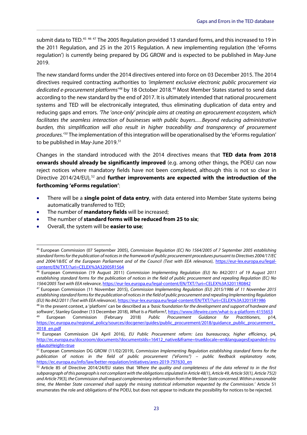submit data to TED.<sup>[45](#page-24-0) [46](#page-24-1) [47](#page-24-2)</sup> The 2005 Regulation provided 13 standard forms, and this increased to 19 in the 2011 Regulation, and 25 in the 2015 Regulation. A new implementing regulation (the 'eForms regulation') is currently being prepared by DG GROW and is expected to be published in May-June 2019.

**\_\_\_\_\_\_\_\_\_\_\_\_\_\_\_\_\_\_\_\_\_\_\_\_\_\_\_\_\_\_\_\_\_\_\_\_\_\_\_\_\_\_\_\_\_\_\_\_\_\_\_\_\_\_\_\_\_\_\_\_\_\_\_\_\_\_\_\_\_\_\_\_\_\_\_\_\_\_\_\_\_\_\_\_\_\_\_\_\_\_\_\_**

The new standard forms under the 2014 directives entered into force on 03 December 2015. The 2014 directives required contracting authorities to *'implement exclusive electronic public procurement via dedicated e-procurement platforms'[48](#page-24-3)* by 18 October 2018.[49](#page-24-4) Most Member States started to send data according to the new standard by the end of 2017. It is ultimately intended that national procurement systems and TED will be electronically integrated, thus eliminating duplication of data entry and reducing gaps and errors. *'The 'once-only' principle aims at creating an eprocurement ecosystem, which facilitates the seamless interaction of businesses with public buyers.…Beyond reducing administrative burden, this simplification will also result in higher traceability and transparency of procurement procedures.'[50](#page-24-5)* The implementation of this integration will be operationalised by the 'eForms regulation' to be published in May-June 2019.<sup>51</sup>

Changes in the standard introduced with the 2014 directives means that **TED data from 2018 onwards should already be significantly improved** (e.g. among other things, the POEU can now reject notices where mandatory fields have not been completed, although this is not so clear in Directive 2014/24/EU), [52](#page-24-7) and **further improvements are expected with the introduction of the forthcoming 'eForms regulation'**:

- There will be a **single point of data entry**, with data entered into Member State systems being automatically transferred to TED;
- The number of **mandatory fields** will be increased;
- The number of **standard forms will be reduced from 25 to six**;
- Overall, the system will be **easier to use**;

<span id="page-24-0"></span> <sup>45</sup> European Commission (07 September 2005), *Commission Regulation (EC) No 1564/2005 of 7 September 2005 establishing standard forms for the publication of notices in the framework of public procurement procedures pursuant to Directives 2004/17/EC and 2004/18/EC of the European Parliament and of the Council (Text with EEA relevance)*, [https://eur-lex.europa.eu/legal](https://eur-lex.europa.eu/legal-content/EN/TXT/?uri=CELEX%3A32005R1564)[content/EN/TXT/?uri=CELEX%3A32005R1564](https://eur-lex.europa.eu/legal-content/EN/TXT/?uri=CELEX%3A32005R1564)

<span id="page-24-1"></span><sup>46</sup> European Commission (19 August 2011) *Commission Implementing Regulation (EU) No 842/2011 of 19 August 2011 establishing standard forms for the publication of notices in the field of public procurement and repealing Regulation (EC) No 1564/2005 Text with EEA relevance*,<https://eur-lex.europa.eu/legal-content/EN/TXT/?uri=CELEX%3A32011R0842>

<span id="page-24-2"></span><sup>47</sup> European Commission (11 November 2015), *Commission Implementing Regulation (EU) 2015/1986 of 11 November 2015 establishing standard forms for the publication of notices in the field of public procurement and repealing Implementing Regulation (EU) No 842/2011 (Text with EEA relevance)*[, https://eur-lex.europa.eu/legal-content/EN/TXT/?uri=CELEX%3A32015R1986](https://eur-lex.europa.eu/legal-content/EN/TXT/?uri=CELEX%3A32015R1986)

<span id="page-24-3"></span><sup>48</sup> In the present context, a 'platform' can be described as a *'basic foundation for the development and support of hardware and software'*, Stanley Goodner (13 December 2018), *What Is a Platform?*[, https://www.lifewire.com/what-is-a-platform-4155653](https://www.lifewire.com/what-is-a-platform-4155653)

<span id="page-24-4"></span><sup>49</sup> European Commission (February 2018) *Public Procurement Guidance for Practitioners*, p14, https://ec.europa.eu/regional\_policy/sources/docgener/guides/public\_procurement/2018/guidance\_public\_procurement [2018\\_en.pdf](https://ec.europa.eu/regional_policy/sources/docgener/guides/public_procurement/2018/guidance_public_procurement_2018_en.pdf)

<span id="page-24-5"></span><sup>50</sup> European Commission (24 April 2016), *EU Public Procurement reform: Less bureaucracy, higher efficiency*, p4, [http://ec.europa.eu/docsroom/documents?documentsIds=16412\\_native&iframe=true&locale=en&languagesExpanded=tru](http://ec.europa.eu/docsroom/documents?documentsIds=16412_native&iframe=true&locale=en&languagesExpanded=true&autoHeight=true) [e&autoHeight=true](http://ec.europa.eu/docsroom/documents?documentsIds=16412_native&iframe=true&locale=en&languagesExpanded=true&autoHeight=true)

<span id="page-24-6"></span><sup>51</sup> European Commission DG GROW (11/02/2019), *Commission Implementing Regulation establishing standard forms for the publication of notices in the field of public procurement ("eForms") – public feedback explanatory note*, [https://ec.europa.eu/info/law/better-regulation/initiatives/ares-2019-797630\\_en](https://ec.europa.eu/info/law/better-regulation/initiatives/ares-2019-797630_en)

<span id="page-24-7"></span><sup>52</sup> Article 85 of Directive 2014/24/EU states that *'Where the quality and completeness of the data referred to in the first subparagraph of this paragraph is not compliant with the obligations stipulated in Article 48(1), Article 49, Article 50(1), Article 75(2) and Article 79(3), the Commission shall request complementary information from the Member State concerned. Within a reasonable time, the Member State concerned shall supply the missing statistical information requested by the Commission.'* Article 51 enumerates the role and obligations of the POEU, but does not appear to indicate the possibility for notices to be rejected.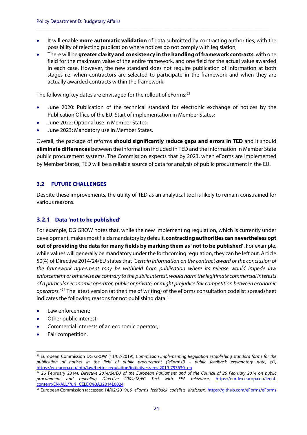• It will enable **more automatic validation** of data submitted by contracting authorities, with the possibility of rejecting publication where notices do not comply with legislation;

**\_\_\_\_\_\_\_\_\_\_\_\_\_\_\_\_\_\_\_\_\_\_\_\_\_\_\_\_\_\_\_\_\_\_\_\_\_\_\_\_\_\_\_\_\_\_\_\_\_\_\_\_\_\_\_\_\_\_\_\_\_\_\_\_\_\_\_\_\_\_\_\_\_\_\_\_\_\_\_\_\_\_\_\_\_\_\_\_\_\_**

• There will be **greater clarity and consistency in the handling of framework contracts**, with one field for the maximum value of the entire framework, and one field for the actual value awarded in each case. However, the new standard does not require publication of information at both stages i.e. when contractors are selected to participate in the framework and when they are actually awarded contracts within the framework.

The following key dates are envisaged for the rollout of eForms:<sup>[53](#page-25-2)</sup>

- June 2020: Publication of the technical standard for electronic exchange of notices by the Publication Office of the EU. Start of implementation in Member States;
- June 2022: Optional use in Member States;
- June 2023: Mandatory use in Member States.

Overall, the package of reforms **should significantly reduce gaps and errors in TED** and it should **eliminate differences** between the information included in TED and the information in Member State public procurement systems. The Commission expects that by 2023, when eForms are implemented by Member States, TED will be a reliable source of data for analysis of public procurement in the EU.

#### <span id="page-25-1"></span><span id="page-25-0"></span>**3.2 FUTURE CHALLENGES**

Despite these improvements, the utility of TED as an analytical tool is likely to remain constrained for various reasons.

#### **3.2.1 Data 'not to be published'**

For example, DG GROW notes that, while the new implementing regulation, which is currently under development, makes most fields mandatory by default, **contracting authorities can nevertheless opt out of providing the data for many fields by marking them as 'not to be published'**. For example, while values will generally be mandatory under the forthcoming regulation, they can be left out. Article 50(4) of Directive 2014/24/EU states that *'Certain information on the contract award or the conclusion of the framework agreement may be withheld from publication where its release would impede law enforcement or otherwise be contrary to the public interest, would harm the legitimate commercial interests of a particular economic operator, public or private, or might prejudice fair competition between economic operators.'* [54](#page-25-3) The latest version (at the time of writing) of the eForms consultation codelist spreadsheet indicates the following reasons for not publishing data:<sup>[55](#page-25-4)</sup>

- Law enforcement;
- Other public interest;
- Commercial interests of an economic operator;
- Fair competition.

<span id="page-25-2"></span> <sup>53</sup> European Commission DG GROW (11/02/2019), *Commission Implementing Regulation establishing standard forms for the publication of notices in the field of public procurement ("eForms") – public feedback explanatory note*, p1, [https://ec.europa.eu/info/law/better-regulation/initiatives/ares-2019-797630\\_en](https://ec.europa.eu/info/law/better-regulation/initiatives/ares-2019-797630_en)

<span id="page-25-3"></span><sup>54</sup> 26 February 2014), *Directive 2014/24/EU of the European Parliament and of the Council of 26 February 2014 on public procurement and repealing Directive 2004/18/EC Text with EEA relevance*, [https://eur-lex.europa.eu/legal](https://eur-lex.europa.eu/legal-content/EN/ALL/?uri=CELEX%3A32014L0024)[content/EN/ALL/?uri=CELEX%3A32014L0024](https://eur-lex.europa.eu/legal-content/EN/ALL/?uri=CELEX%3A32014L0024)

<span id="page-25-4"></span><sup>55</sup> European Commission (accessed 14/02/2019), *5\_eForms\_feedback\_codelists\_draft.xlsx*,<https://github.com/eForms/eForms>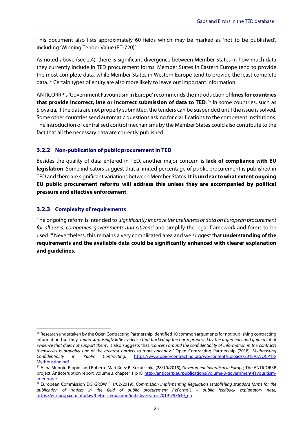This document also lists approximately 60 fields which may be marked as 'not to be published', including 'Winning Tender Value (BT-720)'.

**\_\_\_\_\_\_\_\_\_\_\_\_\_\_\_\_\_\_\_\_\_\_\_\_\_\_\_\_\_\_\_\_\_\_\_\_\_\_\_\_\_\_\_\_\_\_\_\_\_\_\_\_\_\_\_\_\_\_\_\_\_\_\_\_\_\_\_\_\_\_\_\_\_\_\_\_\_\_\_\_\_\_\_\_\_\_\_\_\_\_\_\_**

As noted above (see [2.4\)](#page-21-4), there is significant divergence between Member States in how much data they currently include in TED procurement forms. Member States in Eastern Europe tend to provide the most complete data, while Member States in Western Europe tend to provide the least complete data.[56](#page-26-0) Certain types of entity are also more likely to leave out important information.

ANTICORRP's 'Government Favouritism in Europe'recommends the introduction of **fines for countries**  that provide incorrect, late or incorrect submission of data to TED.<sup>[57](#page-26-1)</sup> In some countries, such as Slovakia, if the data are not properly submitted, the tenders can be suspended until the issue is solved. Some other countries send automatic questions asking for clarifications to the competent institutions. The introduction of centralised control mechanisms by the Member States could also contribute to the fact that all the necessary data are correctly published.

#### **3.2.2 Non-publication of public procurement in TED**

Besides the quality of data entered in TED, another major concern is **lack of compliance with EU legislation**. Some indicators suggest that a limited percentage of public procurement is published in TED and there are significant variations between Member States. **It is unclear to what extent ongoing EU public procurement reforms will address this unless they are accompanied by political pressure and effective enforcement**.

#### **3.2.3 Complexity of requirements**

The ongoing reform is intended to *'significantly improve the usefulness of data on European procurement for all users: companies, governments and citizens'* and simplify the legal framework and forms to be used. [58](#page-26-2) Nevertheless, this remains a very complicated area and we suggest that **understanding of the requirements and the available data could be significantly enhanced with clearer explanation and guidelines**.

<span id="page-26-0"></span><sup>&</sup>lt;sup>56</sup> Research undertaken by the Open Contracting Partnership identified 10 common arguments for not publishing contracting information but they *'found surprisingly little evidence that backed up the harm proposed by the arguments and quite a lot of evidence that does not support them'*. It also suggests that *'Concern around the confidentiality of information in the contracts themselves is arguably one of the greatest barriers to more openness.'* Open Contracting Partnership (2018), *Mythbusting Confidentiality in Public Contracting*, [https://www.open-contracting.org/wp-content/uploads/2018/07/OCP18-](https://www.open-contracting.org/wp-content/uploads/2018/07/OCP18-Mythbusting.pdf) [Mythbusting.pdf](https://www.open-contracting.org/wp-content/uploads/2018/07/OCP18-Mythbusting.pdf)

<span id="page-26-1"></span><sup>&</sup>lt;sup>57</sup> Alina Mungiu-Pippidi and Roberto Marti nez B. Kukutschka (28/10/2015), Government favoritism in Europe, The ANTICORRP project: Anticorruption report, volume 3, chapter 1, p18[, http://anticorrp.eu/publications/volume-3-government-favouritism](http://anticorrp.eu/publications/volume-3-government-favouritism-in-europe/)[in-europe/](http://anticorrp.eu/publications/volume-3-government-favouritism-in-europe/)

<span id="page-26-2"></span><sup>58</sup> European Commission DG GROW (11/02/2019), *Commission Implementing Regulation establishing standard forms for the publication of notices in the field of public procurement ("eForms") – public feedback explanatory note*, https://ec.europa.eu/info/law/better-regulation/initiatives/ares-2019-797630\_en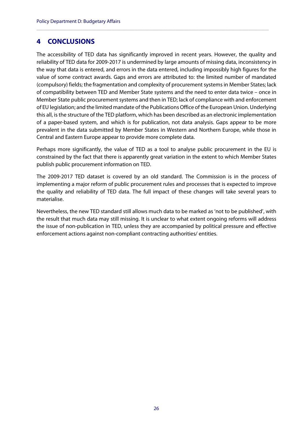## <span id="page-27-0"></span>**4 CONCLUSIONS**

The accessibility of TED data has significantly improved in recent years. However, the quality and reliability of TED data for 2009-2017 is undermined by large amounts of missing data, inconsistency in the way that data is entered, and errors in the data entered, including impossibly high figures for the value of some contract awards. Gaps and errors are attributed to: the limited number of mandated (compulsory) fields; the fragmentation and complexity of procurement systems in Member States; lack of compatibility between TED and Member State systems and the need to enter data twice – once in Member State public procurement systems and then in TED; lack of compliance with and enforcement of EU legislation; and the limited mandate of the Publications Office of the European Union. Underlying this all, is the structure of the TED platform, which has been described as an electronic implementation of a paper-based system, and which is for publication, not data analysis. Gaps appear to be more prevalent in the data submitted by Member States in Western and Northern Europe, while those in Central and Eastern Europe appear to provide more complete data.

**\_\_\_\_\_\_\_\_\_\_\_\_\_\_\_\_\_\_\_\_\_\_\_\_\_\_\_\_\_\_\_\_\_\_\_\_\_\_\_\_\_\_\_\_\_\_\_\_\_\_\_\_\_\_\_\_\_\_\_\_\_\_\_\_\_\_\_\_\_\_\_\_\_\_\_\_\_\_\_\_\_\_\_\_\_\_\_\_\_\_**

Perhaps more significantly, the value of TED as a tool to analyse public procurement in the EU is constrained by the fact that there is apparently great variation in the extent to which Member States publish public procurement information on TED.

The 2009-2017 TED dataset is covered by an old standard. The Commission is in the process of implementing a major reform of public procurement rules and processes that is expected to improve the quality and reliability of TED data. The full impact of these changes will take several years to materialise.

Nevertheless, the new TED standard still allows much data to be marked as 'not to be published', with the result that much data may still missing. It is unclear to what extent ongoing reforms will address the issue of non-publication in TED, unless they are accompanied by political pressure and effective enforcement actions against non-compliant contracting authorities/ entities.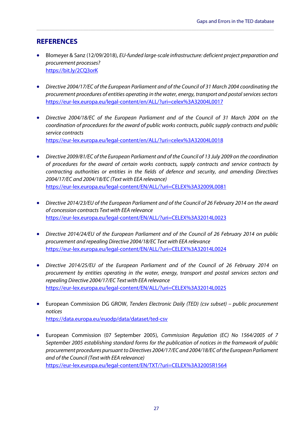## <span id="page-28-0"></span>**REFERENCES**

• Blomeyer & Sanz (12/09/2018), *EU-funded large-scale infrastructure: deficient project preparation and procurement processes?* <https://bit.ly/2CQ3orK>

**\_\_\_\_\_\_\_\_\_\_\_\_\_\_\_\_\_\_\_\_\_\_\_\_\_\_\_\_\_\_\_\_\_\_\_\_\_\_\_\_\_\_\_\_\_\_\_\_\_\_\_\_\_\_\_\_\_\_\_\_\_\_\_\_\_\_\_\_\_\_\_\_\_\_\_\_\_\_\_\_\_\_\_\_\_\_\_\_\_\_\_\_**

- *Directive 2004/17/EC of the European Parliament and of the Council of 31 March 2004 coordinating the procurement procedures of entities operating in the water, energy, transport and postal services sectors* <https://eur-lex.europa.eu/legal-content/en/ALL/?uri=celex%3A32004L0017>
- *Directive 2004/18/EC of the European Parliament and of the Council of 31 March 2004 on the coordination of procedures for the award of public works contracts, public supply contracts and public service contracts* [https://eur-lex.europa.eu/legal-content/en/ALL/?uri=celex%3A32004L0018](https://eur-lex.europa.eu/legal-content/en/ALL/?ur)
- *Directive 2009/81/EC of the European Parliament and of the Council of 13 July 2009 on the coordination of procedures for the award of certain works contracts, supply contracts and service contracts by contracting authorities or entities in the fields of defence and security, and amending Directives 2004/17/EC and 2004/18/EC (Text with EEA relevance)* <https://eur-lex.europa.eu/legal-content/EN/ALL/?uri=CELEX%3A32009L0081>
- *Directive 2014/23/EU of the European Parliament and of the Council of 26 February 2014 on the award of concession contracts Text with EEA relevance* <https://eur-lex.europa.eu/legal-content/EN/ALL/?uri=CELEX%3A32014L0023>
- *Directive 2014/24/EU of the European Parliament and of the Council of 26 February 2014 on public procurement and repealing Directive 2004/18/EC Text with EEA relevance* <https://eur-lex.europa.eu/legal-content/EN/ALL/?uri=CELEX%3A32014L0024>
- *Directive 2014/25/EU of the European Parliament and of the Council of 26 February 2014 on procurement by entities operating in the water, energy, transport and postal services sectors and repealing Directive 2004/17/EC Text with EEA relevance* <https://eur-lex.europa.eu/legal-content/EN/ALL/?uri=CELEX%3A32014L0025>
- European Commission DG GROW, *Tenders Electronic Daily (TED) (csv subset) – public procurement notices* <https://data.europa.eu/euodp/data/dataset/ted-csv>
- European Commission (07 September 2005), *Commission Regulation (EC) No 1564/2005 of 7 September 2005 establishing standard forms for the publication of notices in the framework of public procurement procedures pursuant to Directives 2004/17/EC and 2004/18/EC of the European Parliament and of the Council (Text with EEA relevance)* <https://eur-lex.europa.eu/legal-content/EN/TXT/?uri=CELEX%3A32005R1564>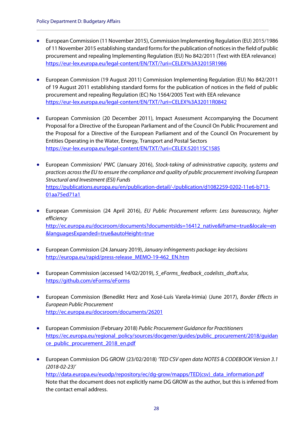• European Commission (11 November 2015), Commission Implementing Regulation (EU) 2015/1986 of 11 November 2015 establishing standard forms for the publication of notices in the field of public procurement and repealing Implementing Regulation (EU) No 842/2011 (Text with EEA relevance) <https://eur-lex.europa.eu/legal-content/EN/TXT/?uri=CELEX%3A32015R1986>

**\_\_\_\_\_\_\_\_\_\_\_\_\_\_\_\_\_\_\_\_\_\_\_\_\_\_\_\_\_\_\_\_\_\_\_\_\_\_\_\_\_\_\_\_\_\_\_\_\_\_\_\_\_\_\_\_\_\_\_\_\_\_\_\_\_\_\_\_\_\_\_\_\_\_\_\_\_\_\_\_\_\_\_\_\_\_\_\_\_\_**

- European Commission (19 August 2011) Commission Implementing Regulation (EU) No 842/2011 of 19 August 2011 establishing standard forms for the publication of notices in the field of public procurement and repealing Regulation (EC) No 1564/2005 Text with EEA relevance <https://eur-lex.europa.eu/legal-content/EN/TXT/?uri=CELEX%3A32011R0842>
- European Commission (20 December 2011), Impact Assessment Accompanying the Document Proposal for a Directive of the European Parliament and of the Council On Public Procurement and the Proposal for a Directive of the European Parliament and of the Council On Procurement by Entities Operating in the Water, Energy, Transport and Postal Sectors <https://eur-lex.europa.eu/legal-content/EN/TXT/?uri=CELEX:52011SC1585>
- European Commission/ PWC (January 2016), *Stock-taking of administrative capacity, systems and practices across the EU to ensure the compliance and quality of public procurement involving European Structural and Investment (ESI) Funds* [https://publications.europa.eu/en/publication-detail/-/publication/d1082259-0202-11e6-b713-](https://publications.europa.eu/en/publication-detail/-/publication/d1082259-0202-11e6-b713-01aa75ed71a1) [01aa75ed71a1](https://publications.europa.eu/en/publication-detail/-/publication/d1082259-0202-11e6-b713-01aa75ed71a1)
- European Commission (24 April 2016), *EU Public Procurement reform: Less bureaucracy, higher efficiency* [http://ec.europa.eu/docsroom/documents?documentsIds=16412\\_native&iframe=true&locale=en](http://ec.europa.eu/docsroom/documents?documentsIds=16412_native&iframe=true&locale=en&languagesExpanded=true&autoHeight=true) [&languagesExpanded=true&autoHeight=true](http://ec.europa.eu/docsroom/documents?documentsIds=16412_native&iframe=true&locale=en&languagesExpanded=true&autoHeight=true)
- European Commission (24 January 2019), *January infringements package: key decisions* [http://europa.eu/rapid/press-release\\_MEMO-19-462\\_EN.htm](http://europa.eu/rapid/press-release_MEMO-19-462_EN.htm)
- European Commission (accessed 14/02/2019), *5\_eForms\_feedback\_codelists\_draft.xlsx*, https://github.com/eForms/eForms
- European Commission (Benedikt Herz and Xosé-Luís Varela-Irimia) (June 2017), *Border Effects in European Public Procurement* <http://ec.europa.eu/docsroom/documents/26201>
- European Commission (February 2018) *Public Procurement Guidance for Practitioners* [https://ec.europa.eu/regional\\_policy/sources/docgener/guides/public\\_procurement/2018/guidan](https://ec.europa.eu/regional_policy/sources/docgener/guides/public_procurement/2018/guidance_public_procurement_2018_en.pdf) ce public procurement 2018 en.pdf
- European Commission DG GROW (23/02/2018) *'TED CSV open data NOTES & CODEBOOK Version 3.1 (2018-02-23)'* [http://data.europa.eu/euodp/repository/ec/dg-grow/mapps/TED\(csv\)\\_data\\_information.pdf](http://data.europa.eu/euodp/repository/ec/dg-grow/mapps/TED(csv)_data_information.pdf)

Note that the document does not explicitly name DG GROW as the author, but this is inferred from the contact email address.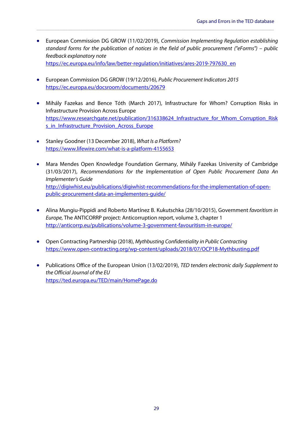• European Commission DG GROW (11/02/2019), *Commission Implementing Regulation establishing standard forms for the publication of notices in the field of public procurement ("eForms") – public feedback explanatory note* https://ec.europa.eu/info/law/better-regulation/initiatives/ares-2019-797630\_en

**\_\_\_\_\_\_\_\_\_\_\_\_\_\_\_\_\_\_\_\_\_\_\_\_\_\_\_\_\_\_\_\_\_\_\_\_\_\_\_\_\_\_\_\_\_\_\_\_\_\_\_\_\_\_\_\_\_\_\_\_\_\_\_\_\_\_\_\_\_\_\_\_\_\_\_\_\_\_\_\_\_\_\_\_\_\_\_\_\_\_\_\_**

- European Commission DG GROW (19/12/2016), *Public Procurement Indicators 2015* <https://ec.europa.eu/docsroom/documents/20679>
- Mihály Fazekas and Bence Tóth (March 2017), Infrastructure for Whom? Corruption Risks in Infrastructure Provision Across Europe https://www.researchgate.net/publication/316338624 Infrastructure for Whom Corruption Risk s in Infrastructure Provision Across Europe
- Stanley Goodner (13 December 2018), *What Is a Platform?* <https://www.lifewire.com/what-is-a-platform-4155653>
- Mara Mendes Open Knowledge Foundation Germany, Mihály Fazekas University of Cambridge (31/03/2017), *Recommendations for the Implementation of Open Public Procurement Data An Implementer's Guide* [http://digiwhist.eu/publications/digiwhist-recommendations-for-the-implementation-of-open](http://digiwhist.eu/publications/digiwhist-recommendations-for-the-implementation-of-open-public-procurement-data-an-implementers-guide/)[public-procurement-data-an-implementers-guide/](http://digiwhist.eu/publications/digiwhist-recommendations-for-the-implementation-of-open-public-procurement-data-an-implementers-guide/)
- Alina Mungiu-Pippidi and Roberto Martínez B. Kukutschka (28/10/2015), Government *favoritism in Europe,* The ANTICORRP project: Anticorruption report, volume 3, chapter 1 <http://anticorrp.eu/publications/volume-3-government-favouritism-in-europe/>
- Open Contracting Partnership (2018), *Mythbusting Confidentiality in Public Contracting* <https://www.open-contracting.org/wp-content/uploads/2018/07/OCP18-Mythbusting.pdf>
- Publications Office of the European Union (13/02/2019), *TED tenders electronic daily Supplement to the Official Journal of the EU* <https://ted.europa.eu/TED/main/HomePage.do>